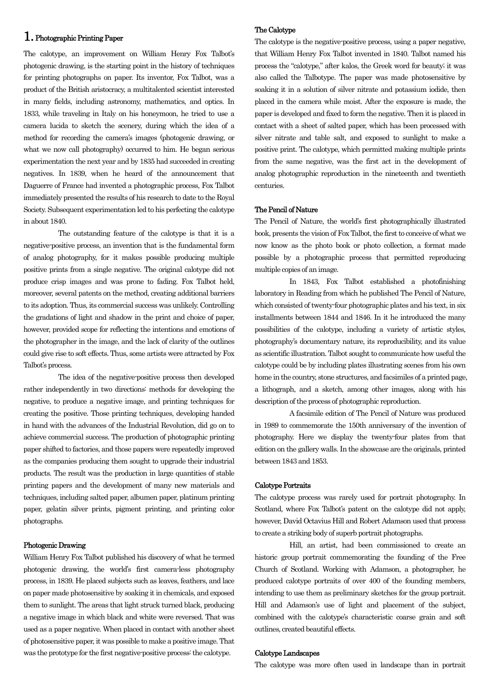# 1. Photographic Printing Paper

The calotype, an improvement on William Henry Fox Talbot's photogenic drawing, is the starting point in the history of techniques for printing photographs on paper. Its inventor, Fox Talbot, was a product of the British aristocracy, a multitalented scientist interested in many fields, including astronomy, mathematics, and optics. In 1833, while traveling in Italy on his honeymoon, he tried to use a camera lucida to sketch the scenery, during which the idea of a method for recording the camera's images (photogenic drawing, or what we now call photography) occurred to him. He began serious experimentation the next year and by 1835 had succeeded in creating negatives. In 1839, when he heard of the announcement that Daguerre of France had invented a photographic process, Fox Talbot immediately presented the results of his research to date to the Royal Society. Subsequent experimentation led to his perfecting the calotype in about 1840.

 The outstanding feature of the calotype is that it is a negative-positive process, an invention that is the fundamental form of analog photography, for it makes possible producing multiple positive prints from a single negative. The original calotype did not produce crisp images and was prone to fading. Fox Talbot held, moreover, several patents on the method, creating additional barriers to its adoption. Thus, its commercial success was unlikely. Controlling the gradations of light and shadow in the print and choice of paper, however, provided scope for reflecting the intentions and emotions of the photographer in the image, and the lack of clarity of the outlines could give rise to soft effects. Thus, some artists were attracted by Fox Talbot's process.

 The idea of the negative-positive process then developed rather independently in two directions: methods for developing the negative, to produce a negative image, and printing techniques for creating the positive. Those printing techniques, developing handed in hand with the advances of the Industrial Revolution, did go on to achieve commercial success. The production of photographic printing paper shifted to factories, and those papers were repeatedly improved as the companies producing them sought to upgrade their industrial products. The result was the production in large quantities of stable printing papers and the development of many new materials and techniques, including salted paper, albumen paper, platinum printing paper, gelatin silver prints, pigment printing, and printing color photographs.

## Photogenic Drawing

William Henry Fox Talbot published his discovery of what he termed photogenic drawing, the world's first camera-less photography process, in 1839. He placed subjects such as leaves, feathers, and lace on paper made photosensitive by soaking it in chemicals, and exposed them to sunlight. The areas that light struck turned black, producing a negative image in which black and white were reversed. That was used as a paper negative. When placed in contact with another sheet of photosensitive paper, it was possible to make a positive image. That was the prototype for the first negative-positive process: the calotype.

#### The Calotype

The calotype is the negative-positive process, using a paper negative, that William Henry Fox Talbot invented in 1840. Talbot named his process the "calotype," after kalos, the Greek word for beauty; it was also called the Talbotype. The paper was made photosensitive by soaking it in a solution of silver nitrate and potassium iodide, then placed in the camera while moist. After the exposure is made, the paper is developed and fixed to form the negative. Then it is placed in contact with a sheet of salted paper, which has been processed with silver nitrate and table salt, and exposed to sunlight to make a positive print. The calotype, which permitted making multiple prints from the same negative, was the first act in the development of analog photographic reproduction in the nineteenth and twentieth centuries.

## The Pencil of Nature

The Pencil of Nature, the world's first photographically illustrated book, presents the vision of Fox Talbot, the first to conceive of what we now know as the photo book or photo collection, a format made possible by a photographic process that permitted reproducing multiple copies of an image.

 In 1843, Fox Talbot established a photofinishing laboratory in Reading from which he published The Pencil of Nature, which consisted of twenty-four photographic plates and his text, in six installments between 1844 and 1846. In it he introduced the many possibilities of the calotype, including a variety of artistic styles, photography's documentary nature, its reproducibility, and its value as scientific illustration. Talbot sought to communicate how useful the calotype could be by including plates illustrating scenes from his own home in the country, stone structures, and facsimiles of a printed page, a lithograph, and a sketch, among other images, along with his description of the process of photographic reproduction.

 A facsimile edition of The Pencil of Nature was produced in 1989 to commemorate the 150th anniversary of the invention of photography. Here we display the twenty-four plates from that edition on the gallery walls. In the showcase are the originals, printed between 1843 and 1853.

## Calotype Portraits

The calotype process was rarely used for portrait photography. In Scotland, where Fox Talbot's patent on the calotype did not apply, however, David Octavius Hill and Robert Adamson used that process to create a striking body of superb portrait photographs.

 Hill, an artist, had been commissioned to create an historic group portrait commemorating the founding of the Free Church of Scotland. Working with Adamson, a photographer, he produced calotype portraits of over 400 of the founding members, intending to use them as preliminary sketches for the group portrait. Hill and Adamson's use of light and placement of the subject, combined with the calotype's characteristic coarse grain and soft outlines, created beautiful effects.

#### Calotype Landscapes

The calotype was more often used in landscape than in portrait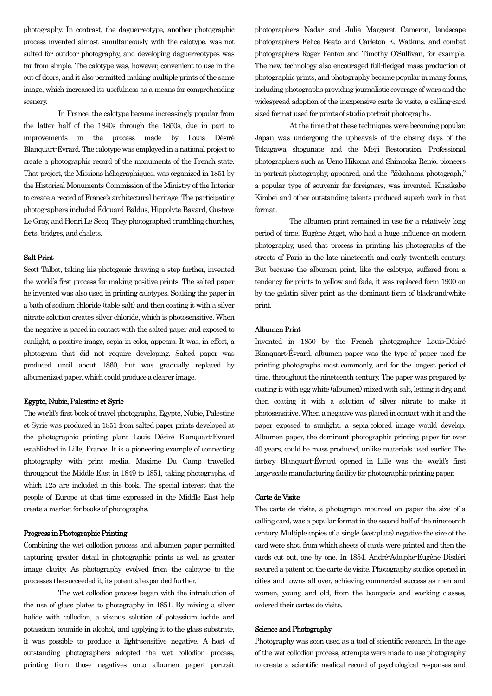photography. In contrast, the daguerreotype, another photographic process invented almost simultaneously with the calotype, was not suited for outdoor photography, and developing daguerreotypes was far from simple. The calotype was, however, convenient to use in the out of doors, and it also permitted making multiple prints of the same image, which increased its usefulness as a means for comprehending scenery.

 In France, the calotype became increasingly popular from the latter half of the 1840s through the 1850s, due in part to improvements in the process made by Louis Désiré Blanquart-Evrard. The calotype was employed in a national project to create a photographic record of the monuments of the French state. That project, the Missions héliographiques, was organized in 1851 by the Historical Monuments Commission of the Ministry of the Interior to create a record of France's architectural heritage. The participating photographers included Édouard Baldus, Hippolyte Bayard, Gustave Le Gray, and Henri Le Secq. They photographed crumbling churches, forts, bridges, and chalets.

#### Salt Print

Scott Talbot, taking his photogenic drawing a step further, invented the world's first process for making positive prints. The salted paper he invented was also used in printing calotypes. Soaking the paper in a bath of sodium chloride (table salt) and then coating it with a silver nitrate solution creates silver chloride, which is photosensitive. When the negative is paced in contact with the salted paper and exposed to sunlight, a positive image, sepia in color, appears. It was, in effect, a photogram that did not require developing. Salted paper was produced until about 1860, but was gradually replaced by albumenized paper, which could produce a clearer image.

# Egypte, Nubie, Palestine et Syrie

The world's first book of travel photographs, Egypte, Nubie, Palestine et Syrie was produced in 1851 from salted paper prints developed at the photographic printing plant Louis Désiré Blanquart-Evrard established in Lille, France. It is a pioneering example of connecting photography with print media. Maxime Du Camp travelled throughout the Middle East in 1849 to 1851, taking photographs, of which 125 are included in this book. The special interest that the people of Europe at that time expressed in the Middle East help create a market for books of photographs.

#### Progress in Photographic Printing

Combining the wet collodion process and albumen paper permitted capturing greater detail in photographic prints as well as greater image clarity. As photography evolved from the calotype to the processes the succeeded it, its potential expanded further.

 The wet collodion process began with the introduction of the use of glass plates to photography in 1851. By mixing a silver halide with collodion, a viscous solution of potassium iodide and potassium bromide in alcohol, and applying it to the glass substrate, it was possible to produce a light-sensitive negative. A host of outstanding photographers adopted the wet collodion process, printing from those negatives onto albumen paper: portrait

photographers Nadar and Julia Margaret Cameron, landscape photographers Felice Beato and Carleton E. Watkins, and combat photographers Roger Fenton and Timothy O'Sullivan, for example. The new technology also encouraged full-fledged mass production of photographic prints, and photography became popular in many forms, including photographs providing journalistic coverage of wars and the widespread adoption of the inexpensive carte de visite, a calling-card sized format used for prints of studio portrait photographs.

 At the time that these techniques were becoming popular, Japan was undergoing the upheavals of the closing days of the Tokugawa shogunate and the Meiji Restoration. Professional photographers such as Ueno Hikoma and Shimooka Renjo, pioneers in portrait photography, appeared, and the "Yokohama photograph," a popular type of souvenir for foreigners, was invented. Kusakabe Kimbei and other outstanding talents produced superb work in that format.

 The albumen print remained in use for a relatively long period of time. Eugène Atget, who had a huge influence on modern photography, used that process in printing his photographs of the streets of Paris in the late nineteenth and early twentieth century. But because the albumen print, like the calotype, suffered from a tendency for prints to yellow and fade, it was replaced form 1900 on by the gelatin silver print as the dominant form of black-and-white print.

## Albumen Print

Invented in 1850 by the French photographer Louis-Désiré Blanquart-Évrard, albumen paper was the type of paper used for printing photographs most commonly, and for the longest period of time, throughout the nineteenth century. The paper was prepared by coating it with egg white (albumen) mixed with salt, letting it dry, and then coating it with a solution of silver nitrate to make it photosensitive. When a negative was placed in contact with it and the paper exposed to sunlight, a sepia-colored image would develop. Albumen paper, the dominant photographic printing paper for over 40 years, could be mass produced, unlike materials used earlier. The factory Blanquart-Évrard opened in Lille was the world's first large-scale manufacturing facility for photographic printing paper.

#### Carte de Visite

The carte de visite, a photograph mounted on paper the size of a calling card, was a popular format in the second half of the nineteenth century. Multiple copies of a single (wet-plate) negative the size of the card were shot, from which sheets of cards were printed and then the cards cut out, one by one. In 1854, André-Adolphe-Eugène Disdéri secured a patent on the carte de visite. Photography studios opened in cities and towns all over, achieving commercial success as men and women, young and old, from the bourgeois and working classes, ordered their cartes de visite.

# Science and Photography

Photography was soon used as a tool of scientific research. In the age of the wet collodion process, attempts were made to use photography to create a scientific medical record of psychological responses and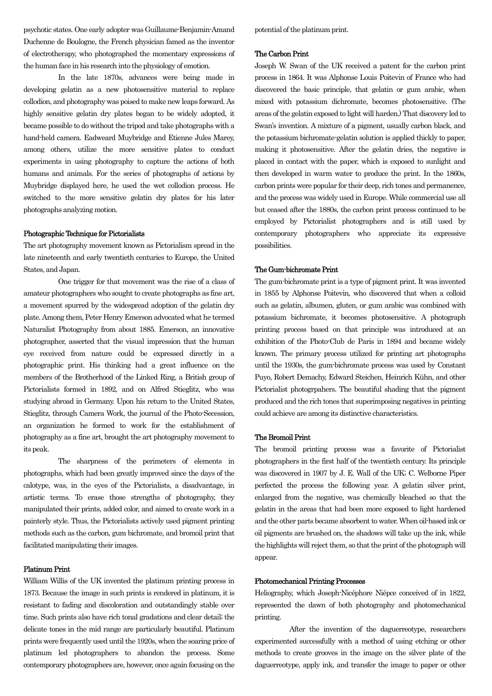psychotic states. One early adopter was Guillaume-Benjamin-Amand Duchenne de Boulogne, the French physician famed as the inventor of electrotherapy, who photographed the momentary expressions of the human face in his research into the physiology of emotion.

 In the late 1870s, advances were being made in developing gelatin as a new photosensitive material to replace collodion, and photography was poised to make new leaps forward. As highly sensitive gelatin dry plates began to be widely adopted, it became possible to do without the tripod and take photographs with a hand-held camera. Eadweard Muybridge and Etienne Jules Marey, among others, utilize the more sensitive plates to conduct experiments in using photography to capture the actions of both humans and animals. For the series of photographs of actions by Muybridge displayed here, he used the wet collodion process. He switched to the more sensitive gelatin dry plates for his later photographs analyzing motion.

#### Photographic Technique for Pictorialists

The art photography movement known as Pictorialism spread in the late nineteenth and early twentieth centuries to Europe, the United States, and Japan.

 One trigger for that movement was the rise of a class of amateur photographers who sought to create photographs as fine art, a movement spurred by the widespread adoption of the gelatin dry plate. Among them, Peter Henry Emerson advocated what he termed Naturalist Photography from about 1885. Emerson, an innovative photographer, asserted that the visual impression that the human eye received from nature could be expressed directly in a photographic print. His thinking had a great influence on the members of the Brotherhood of the Linked Ring, a British group of Pictorialists formed in 1892, and on Alfred Stieglitz, who was studying abroad in Germany. Upon his return to the United States, Stieglitz, through Camera Work, the journal of the Photo-Secession, an organization he formed to work for the establishment of photography as a fine art, brought the art photography movement to its peak.

 The sharpness of the perimeters of elements in photographs, which had been greatly improved since the days of the calotype, was, in the eyes of the Pictorialists, a disadvantage, in artistic terms. To erase those strengths of photography, they manipulated their prints, added color, and aimed to create work in a painterly style. Thus, the Pictorialists actively used pigment printing methods such as the carbon, gum bichromate, and bromoil print that facilitated manipulating their images.

# Platinum Print

William Willis of the UK invented the platinum printing process in 1873. Because the image in such prints is rendered in platinum, it is resistant to fading and discoloration and outstandingly stable over time. Such prints also have rich tonal gradations and clear detail; the delicate tones in the mid range are particularly beautiful. Platinum prints were frequently used until the 1920s, when the soaring price of platinum led photographers to abandon the process. Some contemporary photographers are, however, once again focusing on the

potential of the platinum print.

### The Carbon Print

Joseph W. Swan of the UK received a patent for the carbon print process in 1864. It was Alphonse Louis Poitevin of France who had discovered the basic principle, that gelatin or gum arabic, when mixed with potassium dichromate, becomes photosensitive. (The areas of the gelatin exposed to light will harden.) That discovery led to Swan's invention. A mixture of a pigment, usually carbon black, and the potassium bichromate-gelatin solution is applied thickly to paper, making it photosensitive. After the gelatin dries, the negative is placed in contact with the paper, which is exposed to sunlight and then developed in warm water to produce the print. In the 1860s, carbon prints were popular for their deep, rich tones and permanence, and the process was widely used in Europe. While commercial use all but ceased after the 1880s, the carbon print process continued to be employed by Pictorialist photographers and is still used by contemporary photographers who appreciate its expressive possibilities.

# The Gum-bichromate Print

The gum-bichromate print is a type of pigment print. It was invented in 1855 by Alphonse Poitevin, who discovered that when a colloid such as gelatin, albumen, gluten, or gum arabic was combined with potassium bichromate, it becomes photosensitive. A photograph printing process based on that principle was introduced at an exhibition of the Photo-Club de Paris in 1894 and became widely known. The primary process utilized for printing art photographs until the 1930s, the gum-bichromate process was used by Constant Puyo, Robert Demachy, Edward Steichen, Heinrich Kühn, and other Pictorialist photogrpahers. The beautiful shading that the pigment produced and the rich tones that superimposing negatives in printing could achieve are among its distinctive characteristics.

### The Bromoil Print

The bromoil printing process was a favorite of Pictorialist photographers in the first half of the twentieth century. Its principle was discovered in 1907 by J. E. Wall of the UK; C. Welborne Piper perfected the process the following year. A gelatin silver print, enlarged from the negative, was chemically bleached so that the gelatin in the areas that had been more exposed to light hardened and the other parts became absorbent to water. When oil-based ink or oil pigments are brushed on, the shadows will take up the ink, while the highlights will reject them, so that the print of the photograph will appear.

## Photomechanical Printing Processes

Heliography, which Joseph-Nicéphore Niépce conceived of in 1822, represented the dawn of both photography and photomechanical printing.

 After the invention of the daguerreotype, researchers experimented successfully with a method of using etching or other methods to create grooves in the image on the silver plate of the daguerreotype, apply ink, and transfer the image to paper or other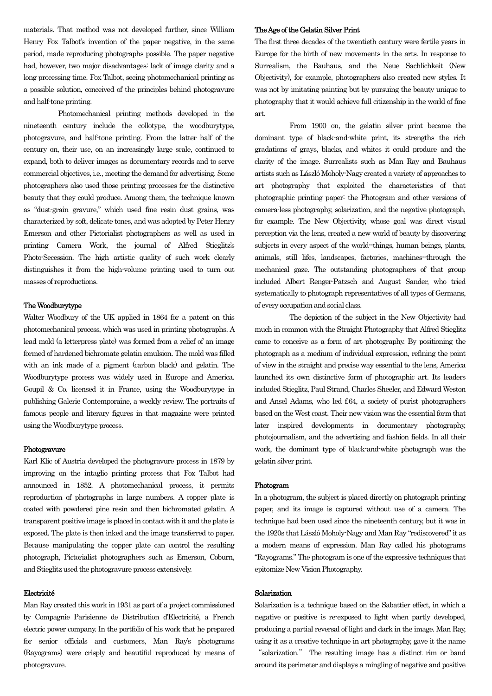materials. That method was not developed further, since William Henry Fox Talbot's invention of the paper negative, in the same period, made reproducing photographs possible. The paper negative had, however, two major disadvantages: lack of image clarity and a long processing time. Fox Talbot, seeing photomechanical printing as a possible solution, conceived of the principles behind photogravure and half-tone printing.

 Photomechanical printing methods developed in the nineteenth century include the collotype, the woodburytype, photogravure, and half-tone printing. From the latter half of the century on, their use, on an increasingly large scale, continued to expand, both to deliver images as documentary records and to serve commercial objectives, i.e., meeting the demand for advertising. Some photographers also used those printing processes for the distinctive beauty that they could produce. Among them, the technique known as "dust-grain gravure," which used fine resin dust grains, was characterized by soft, delicate tones, and was adopted by Peter Henry Emerson and other Pictorialist photographers as well as used in printing Camera Work, the journal of Alfred Stieglitz's Photo-Secession. The high artistic quality of such work clearly distinguishes it from the high-volume printing used to turn out masses of reproductions.

## The Woodburytype

Walter Woodbury of the UK applied in 1864 for a patent on this photomechanical process, which was used in printing photographs. A lead mold (a letterpress plate) was formed from a relief of an image formed of hardened bichromate gelatin emulsion. The mold was filled with an ink made of a pigment (carbon black) and gelatin. The Woodburytype process was widely used in Europe and America. Goupil & Co. licensed it in France, using the Woodburytype in publishing Galerie Contemporaine, a weekly review. The portraits of famous people and literary figures in that magazine were printed using the Woodburytype process.

## Photogravure

Karl Klic of Austria developed the photogravure process in 1879 by improving on the intaglio printing process that Fox Talbot had announced in 1852. A photomechanical process, it permits reproduction of photographs in large numbers. A copper plate is coated with powdered pine resin and then bichromated gelatin. A transparent positive image is placed in contact with it and the plate is exposed. The plate is then inked and the image transferred to paper. Because manipulating the copper plate can control the resulting photograph, Pictorialist photographers such as Emerson, Coburn, and Stieglitz used the photogravure process extensively.

## Electricité

Man Ray created this work in 1931 as part of a project commissioned by Compagnie Parisienne de Distribution d'Electricité, a French electric power company. In the portfolio of his work that he prepared for senior officials and customers, Man Ray's photograms (Rayograms) were crisply and beautiful reproduced by means of photogravure.

#### The Age of the Gelatin Silver Print

The first three decades of the twentieth century were fertile years in Europe for the birth of new movements in the arts. In response to Surrealism, the Bauhaus, and the Neue Sachlichkeit (New Objectivity), for example, photographers also created new styles. It was not by imitating painting but by pursuing the beauty unique to photography that it would achieve full citizenship in the world of fine art.

 From 1900 on, the gelatin silver print became the dominant type of black-and-white print, its strengths the rich gradations of grays, blacks, and whites it could produce and the clarity of the image. Surrealists such as Man Ray and Bauhaus artists such as László Moholy-Nagy created a variety of approaches to art photography that exploited the characteristics of that photographic printing paper: the Photogram and other versions of camera-less photography, solarization, and the negative photograph, for example. The New Objectivity, whose goal was direct visual perception via the lens, created a new world of beauty by discovering subjects in every aspect of the world--things, human beings, plants, animals, still lifes, landscapes, factories, machines--through the mechanical gaze. The outstanding photographers of that group included Albert Renger-Patzsch and August Sander, who tried systematically to photograph representatives of all types of Germans, of every occupation and social class.

 The depiction of the subject in the New Objectivity had much in common with the Straight Photography that Alfred Stieglitz came to conceive as a form of art photography. By positioning the photograph as a medium of individual expression, refining the point of view in the straight and precise way essential to the lens, America launched its own distinctive form of photographic art. Its leaders included Stieglitz, Paul Strand, Charles Sheeler, and Edward Weston and Ansel Adams, who led f.64, a society of purist photographers based on the West coast. Their new vision was the essential form that later inspired developments in documentary photography, photojournalism, and the advertising and fashion fields. In all their work, the dominant type of black-and-white photograph was the gelatin silver print.

#### Photogram

In a photogram, the subject is placed directly on photograph printing paper, and its image is captured without use of a camera. The technique had been used since the nineteenth century, but it was in the 1920s that László Moholy-Nagy and Man Ray "rediscovered" it as a modern means of expression. Man Ray called his photograms "Rayograms." The photogram is one of the expressive techniques that epitomize New Vision Photography.

## Solarization

Solarization is a technique based on the Sabattier effect, in which a negative or positive is re-exposed to light when partly developed, producing a partial reversal of light and dark in the image. Man Ray, using it as a creative technique in art photography, gave it the name

"solarization." The resulting image has a distinct rim or band around its perimeter and displays a mingling of negative and positive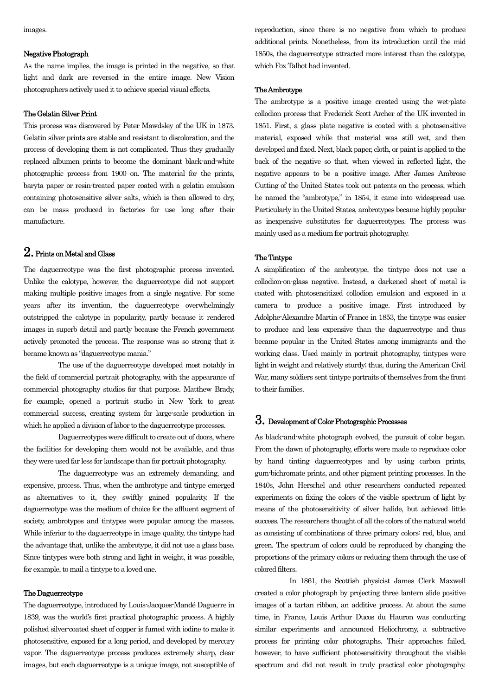images.

## Negative Photograph

As the name implies, the image is printed in the negative, so that light and dark are reversed in the entire image. New Vision photographers actively used it to achieve special visual effects.

# The Gelatin Silver Print

This process was discovered by Peter Mawdsley of the UK in 1873. Gelatin silver prints are stable and resistant to discoloration, and the process of developing them is not complicated. Thus they gradually replaced albumen prints to become the dominant black-and-white photographic process from 1900 on. The material for the prints, baryta paper or resin-treated paper coated with a gelatin emulsion containing photosensitive silver salts, which is then allowed to dry, can be mass produced in factories for use long after their manufacture.

# 2. Prints on Metal and Glass

The daguerreotype was the first photographic process invented. Unlike the calotype, however, the daguerreotype did not support making multiple positive images from a single negative. For some years after its invention, the daguerreotype overwhelmingly outstripped the calotype in popularity, partly because it rendered images in superb detail and partly because the French government actively promoted the process. The response was so strong that it became known as "daguerreotype mania."

 The use of the daguerreotype developed most notably in the field of commercial portrait photography, with the appearance of commercial photography studios for that purpose. Matthew Brady, for example, opened a portrait studio in New York to great commercial success, creating system for large-scale production in which he applied a division of labor to the daguerreotype processes.

 Daguerreotypes were difficult to create out of doors, where the facilities for developing them would not be available, and thus they were used far less for landscape than for portrait photography.

 The daguerreotype was an extremely demanding, and expensive, process. Thus, when the ambrotype and tintype emerged as alternatives to it, they swiftly gained popularity. If the daguerreotype was the medium of choice for the affluent segment of society, ambrotypes and tintypes were popular among the masses. While inferior to the daguerreotype in image quality, the tintype had the advantage that, unlike the ambrotype, it did not use a glass base. Since tintypes were both strong and light in weight, it was possible, for example, to mail a tintype to a loved one.

## The Daguerreotype

The daguerreotype, introduced by Louis-Jacques-Mandé Daguerre in 1839, was the world's first practical photographic process. A highly polished silver-coated sheet of copper is fumed with iodine to make it photosensitive, exposed for a long period, and developed by mercury vapor. The daguerreotype process produces extremely sharp, clear images, but each daguerreotype is a unique image, not susceptible of reproduction, since there is no negative from which to produce additional prints. Nonetheless, from its introduction until the mid 1850s, the daguerreotype attracted more interest than the calotype, which Fox Talbot had invented.

#### The Ambrotype

The ambrotype is a positive image created using the wet-plate collodion process that Frederick Scott Archer of the UK invented in 1851. First, a glass plate negative is coated with a photosensitive material, exposed while that material was still wet, and then developed and fixed. Next, black paper, cloth, or paint is applied to the back of the negative so that, when viewed in reflected light, the negative appears to be a positive image. After James Ambrose Cutting of the United States took out patents on the process, which he named the "ambrotype," in 1854, it came into widespread use. Particularly in the United States, ambrotypes became highly popular as inexpensive substitutes for daguerreotypes. The process was mainly used as a medium for portrait photography.

#### The Tintype

A simplification of the ambrotype, the tintype does not use a collodion-on-glass negative. Instead, a darkened sheet of metal is coated with photosensitized collodion emulsion and exposed in a camera to produce a positive image. First introduced by Adolphe-Alexandre Martin of France in 1853, the tintype was easier to produce and less expensive than the daguerreotype and thus became popular in the United States among immigrants and the working class. Used mainly in portrait photography, tintypes were light in weight and relatively sturdy; thus, during the American Civil War, many soldiers sent tintype portraits of themselves from the front to their families.

# 3. Development of Color Photographic Processes

As black-and-white photograph evolved, the pursuit of color began. From the dawn of photography, efforts were made to reproduce color by hand tinting daguerreotypes and by using carbon prints, gum-bichromate prints, and other pigment printing processes. In the 1840s, John Herschel and other researchers conducted repeated experiments on fixing the colors of the visible spectrum of light by means of the photosensitivity of silver halide, but achieved little success. The researchers thought of all the colors of the natural world as consisting of combinations of three primary colors: red, blue, and green. The spectrum of colors could be reproduced by changing the proportions of the primary colors or reducing them through the use of colored filters.

 In 1861, the Scottish physicist James Clerk Maxwell created a color photograph by projecting three lantern slide positive images of a tartan ribbon, an additive process. At about the same time, in France, Louis Arthur Ducos du Hauron was conducting similar experiments and announced Heliochromy, a subtractive process for printing color photographs. Their approaches failed, however, to have sufficient photosensitivity throughout the visible spectrum and did not result in truly practical color photography.